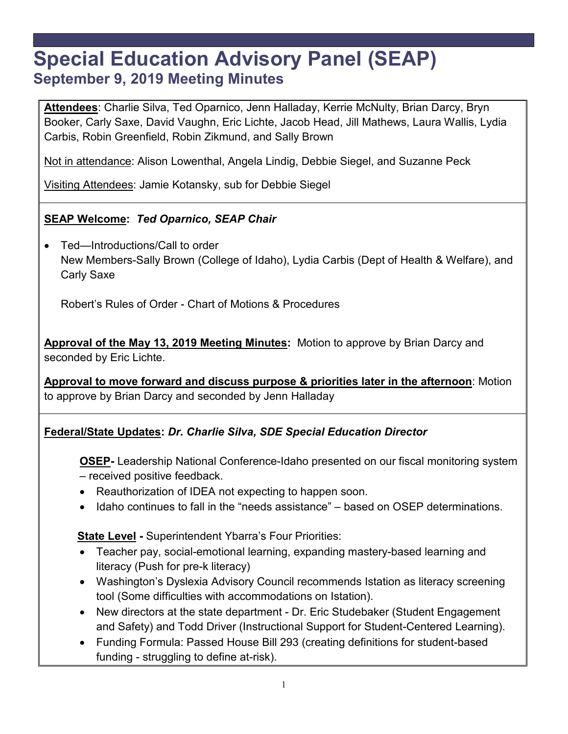# **Special Education Advisory Panel (SEAP) September 9, 2019 Meeting Minutes**

**Attendees**: Charlie Silva, Ted Oparnico, Jenn Halladay, Kerrie McNulty, Brian Darcy, Bryn Booker, Carly Saxe, David Vaughn, Eric Lichte, Jacob Head, Jill Mathews, Laura Wallis, Lydia Carbis, Robin Greenfield, Robin Zikmund, and Sally Brown

Not in attendance: Alison Lowenthal, Angela Lindig, Debbie Siegel, and Suzanne Peck

Visiting Attendees: Jamie Kotansky, sub for Debbie Siegel

# **SEAP Welcome:** *Ted Oparnico, SEAP Chair*

• Ted—Introductions/Call to order New Members-Sally Brown (College of Idaho), Lydia Carbis (Dept of Health & Welfare), and Carly Saxe

Robert's Rules of Order - Chart of Motions & Procedures

**Approval of the May 13, 2019 Meeting Minutes:** Motion to approve by Brian Darcy and seconded by Eric Lichte.

**Approval to move forward and discuss purpose & priorities later in the afternoon**: Motion to approve by Brian Darcy and seconded by Jenn Halladay

## **Federal/State Updates:** *Dr. Charlie Silva, SDE Special Education Director*

**OSEP-** Leadership National Conference-Idaho presented on our fiscal monitoring system – received positive feedback.

- Reauthorization of IDEA not expecting to happen soon.
- Idaho continues to fall in the "needs assistance" based on OSEP determinations.

**State Level -** Superintendent Ybarra's Four Priorities:

- Teacher pay, social-emotional learning, expanding mastery-based learning and literacy (Push for pre-k literacy)
- Washington's Dyslexia Advisory Council recommends Istation as literacy screening tool (Some difficulties with accommodations on Istation).
- New directors at the state department Dr. Eric Studebaker (Student Engagement and Safety) and Todd Driver (Instructional Support for Student-Centered Learning).
- Funding Formula: Passed House Bill 293 (creating definitions for student-based funding - struggling to define at-risk).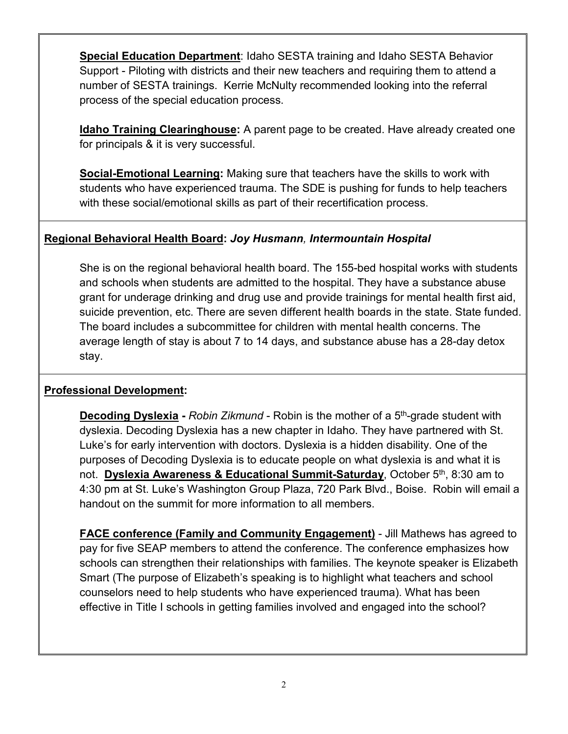**Special Education Department**: Idaho SESTA training and Idaho SESTA Behavior Support - Piloting with districts and their new teachers and requiring them to attend a number of SESTA trainings. Kerrie McNulty recommended looking into the referral process of the special education process.

**Idaho Training Clearinghouse:** A parent page to be created. Have already created one for principals & it is very successful.

**Social-Emotional Learning:** Making sure that teachers have the skills to work with students who have experienced trauma. The SDE is pushing for funds to help teachers with these social/emotional skills as part of their recertification process.

#### **Regional Behavioral Health Board:** *Joy Husmann, Intermountain Hospital*

She is on the regional behavioral health board. The 155-bed hospital works with students and schools when students are admitted to the hospital. They have a substance abuse grant for underage drinking and drug use and provide trainings for mental health first aid, suicide prevention, etc. There are seven different health boards in the state. State funded. The board includes a subcommittee for children with mental health concerns. The average length of stay is about 7 to 14 days, and substance abuse has a 28-day detox stay.

#### **Professional Development:**

**Decoding Dyslexia -** *Robin Zikmund* - Robin is the mother of a 5th-grade student with dyslexia. Decoding Dyslexia has a new chapter in Idaho. They have partnered with St. Luke's for early intervention with doctors. Dyslexia is a hidden disability. One of the purposes of Decoding Dyslexia is to educate people on what dyslexia is and what it is not. **Dyslexia Awareness & Educational Summit-Saturday**, October 5th, 8:30 am to 4:30 pm at St. Luke's Washington Group Plaza, 720 Park Blvd., Boise. Robin will email a handout on the summit for more information to all members.

**FACE conference (Family and Community Engagement)** - Jill Mathews has agreed to pay for five SEAP members to attend the conference. The conference emphasizes how schools can strengthen their relationships with families. The keynote speaker is Elizabeth Smart (The purpose of Elizabeth's speaking is to highlight what teachers and school counselors need to help students who have experienced trauma). What has been effective in Title I schools in getting families involved and engaged into the school?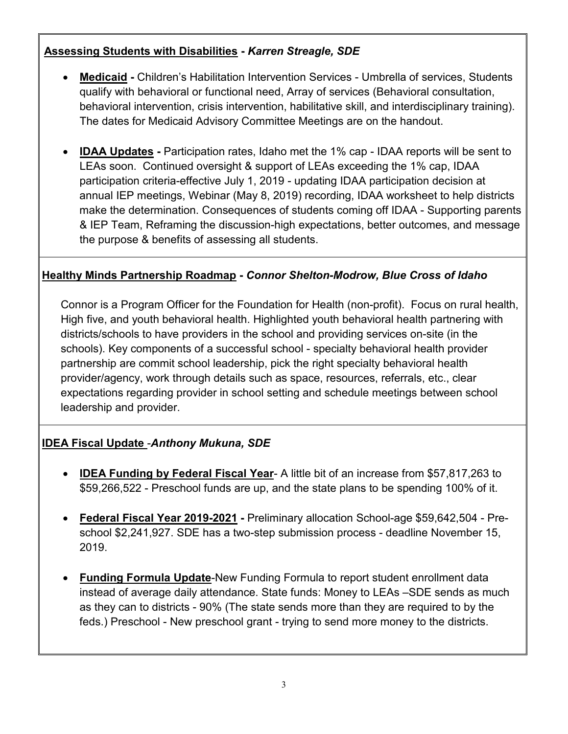# **Assessing Students with Disabilities -** *Karren Streagle, SDE*

- **Medicaid -** Children's Habilitation Intervention Services Umbrella of services, Students qualify with behavioral or functional need, Array of services (Behavioral consultation, behavioral intervention, crisis intervention, habilitative skill, and interdisciplinary training). The dates for Medicaid Advisory Committee Meetings are on the handout.
- **IDAA Updates -** Participation rates, Idaho met the 1% cap IDAA reports will be sent to LEAs soon. Continued oversight & support of LEAs exceeding the 1% cap, IDAA participation criteria-effective July 1, 2019 - updating IDAA participation decision at annual IEP meetings, Webinar (May 8, 2019) recording, IDAA worksheet to help districts make the determination. Consequences of students coming off IDAA - Supporting parents & IEP Team, Reframing the discussion-high expectations, better outcomes, and message the purpose & benefits of assessing all students.

#### **Healthy Minds Partnership Roadmap -** *Connor Shelton-Modrow, Blue Cross of Idaho*

Connor is a Program Officer for the Foundation for Health (non-profit). Focus on rural health, High five, and youth behavioral health. Highlighted youth behavioral health partnering with districts/schools to have providers in the school and providing services on-site (in the schools). Key components of a successful school - specialty behavioral health provider partnership are commit school leadership, pick the right specialty behavioral health provider/agency, work through details such as space, resources, referrals, etc., clear expectations regarding provider in school setting and schedule meetings between school leadership and provider.

## **IDEA Fiscal Update** -*Anthony Mukuna, SDE*

- **IDEA Funding by Federal Fiscal Year** A little bit of an increase from \$57,817,263 to \$59,266,522 - Preschool funds are up, and the state plans to be spending 100% of it.
- **Federal Fiscal Year 2019-2021 -** Preliminary allocation School-age \$59,642,504 Preschool \$2,241,927. SDE has a two-step submission process - deadline November 15, 2019.
- **Funding Formula Update**-New Funding Formula to report student enrollment data instead of average daily attendance. State funds: Money to LEAs –SDE sends as much as they can to districts - 90% (The state sends more than they are required to by the feds.) Preschool - New preschool grant - trying to send more money to the districts.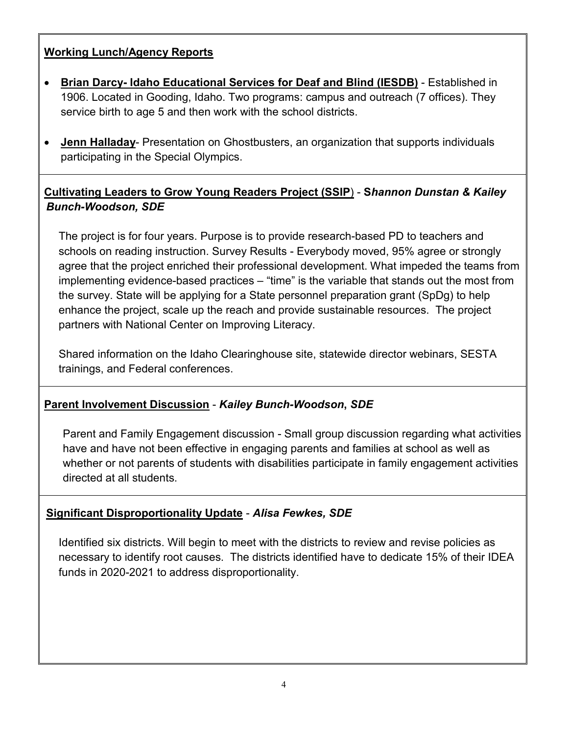# **Working Lunch/Agency Reports**

- **Brian Darcy- Idaho Educational Services for Deaf and Blind (IESDB)** Established in 1906. Located in Gooding, Idaho. Two programs: campus and outreach (7 offices). They service birth to age 5 and then work with the school districts.
- **Jenn Halladay** Presentation on Ghostbusters, an organization that supports individuals participating in the Special Olympics.

# **Cultivating Leaders to Grow Young Readers Project (SSIP**) - **S***hannon Dunstan & Kailey Bunch-Woodson, SDE*

The project is for four years. Purpose is to provide research-based PD to teachers and schools on reading instruction. Survey Results - Everybody moved, 95% agree or strongly agree that the project enriched their professional development. What impeded the teams from implementing evidence-based practices – "time" is the variable that stands out the most from the survey. State will be applying for a State personnel preparation grant (SpDg) to help enhance the project, scale up the reach and provide sustainable resources. The project partners with National Center on Improving Literacy.

Shared information on the Idaho Clearinghouse site, statewide director webinars, SESTA trainings, and Federal conferences.

## **Parent Involvement Discussion** - *Kailey Bunch-Woodson***,** *SDE*

Parent and Family Engagement discussion - Small group discussion regarding what activities have and have not been effective in engaging parents and families at school as well as whether or not parents of students with disabilities participate in family engagement activities directed at all students.

## **Significant Disproportionality Update** - *Alisa Fewkes, SDE*

Identified six districts. Will begin to meet with the districts to review and revise policies as necessary to identify root causes. The districts identified have to dedicate 15% of their IDEA funds in 2020-2021 to address disproportionality.